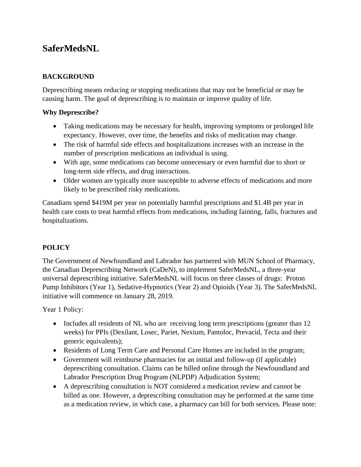# **SaferMedsNL**

# **BACKGROUND**

Deprescribing means reducing or stopping medications that may not be beneficial or may be causing harm. The goal of deprescribing is to maintain or improve quality of life.

#### **Why Deprescribe?**

- Taking medications may be necessary for health, improving symptoms or prolonged life expectancy. However, over time, the benefits and risks of medication may change.
- The risk of harmful side effects and hospitalizations increases with an increase in the number of prescription medications an individual is using.
- With age, some medications can become unnecessary or even harmful due to short or long-term side effects, and drug interactions.
- Older women are typically more susceptible to adverse effects of medications and more likely to be prescribed risky medications.

Canadians spend \$419M per year on potentially harmful prescriptions and \$1.4B per year in health care costs to treat harmful effects from medications, including fainting, falls, fractures and hospitalizations.

## **POLICY**

The Government of Newfoundland and Labrador has partnered with MUN School of Pharmacy, the Canadian Deprescribing Network (CaDeN), to implement SaferMedsNL, a three-year universal deprescribing initiative. SaferMedsNL will focus on three classes of drugs: Proton Pump Inhibitors (Year 1), Sedative-Hypnotics (Year 2) and Opioids (Year 3). The SaferMedsNL initiative will commence on January 28, 2019.

Year 1 Policy:

- Includes all residents of NL who are receiving long term prescriptions (greater than 12 weeks) for PPIs (Dexilant, Losec, Pariet, Nexium, Pantoloc, Prevacid, Tecta and their generic equivalents);
- Residents of Long Term Care and Personal Care Homes are included in the program;
- Government will reimburse pharmacies for an initial and follow-up (if applicable) deprescribing consultation. Claims can be billed online through the Newfoundland and Labrador Prescription Drug Program (NLPDP) Adjudication System;
- A deprescribing consultation is NOT considered a medication review and cannot be billed as one. However, a deprescribing consultation may be performed at the same time as a medication review, in which case, a pharmacy can bill for both services. Please note: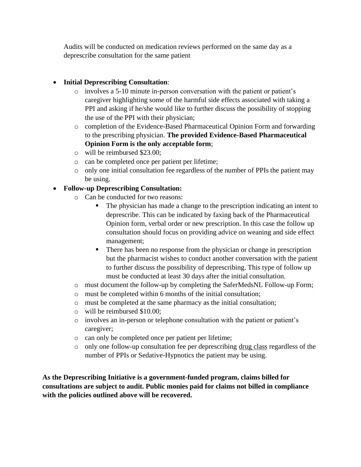Audits will be conducted on medication reviews performed on the same day as a deprescribe consultation for the same patient

#### • **Initial Deprescribing Consultation**:

- $\circ$  involves a 5-10 minute in-person conversation with the patient or patient's caregiver highlighting some of the harmful side effects associated with taking a PPI and asking if he/she would like to further discuss the possibility of stopping the use of the PPI with their physician;
- o completion of the Evidence-Based Pharmaceutical Opinion Form and forwarding to the prescribing physician. **The provided Evidence-Based Pharmaceutical Opinion Form is the only acceptable form**;
- o will be reimbursed \$23.00;
- o can be completed once per patient per lifetime;
- o only one initial consultation fee regardless of the number of PPIs the patient may be using.

#### • **Follow-up Deprescribing Consultation:**

- o Can be conducted for two reasons:
	- The physician has made a change to the prescription indicating an intent to deprescribe. This can be indicated by faxing back of the Pharmaceutical Opinion form, verbal order or new prescription. In this case the follow up consultation should focus on providing advice on weaning and side effect management;
	- There has been no response from the physician or change in prescription but the pharmacist wishes to conduct another conversation with the patient to further discuss the possibility of deprescribing. This type of follow up must be conducted at least 30 days after the initial consultation.
- o must document the follow-up by completing the SaferMedsNL Follow-up Form;
- o must be completed within 6 months of the initial consultation;
- o must be completed at the same pharmacy as the initial consultation;
- o will be reimbursed \$10.00;
- o involves an in-person or telephone consultation with the patient or patient's caregiver;
- o can only be completed once per patient per lifetime;
- o only one follow-up consultation fee per deprescribing drug class regardless of the number of PPIs or Sedative-Hypnotics the patient may be using.

**As the Deprescribing Initiative is a government-funded program, claims billed for consultations are subject to audit. Public monies paid for claims not billed in compliance with the policies outlined above will be recovered.**